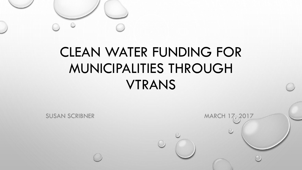

# CLEAN WATER FUNDING FOR MUNICIPALITIES THROUGH VTRANS

SUSAN SCRIBNER MARCH 17, 2017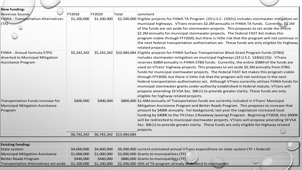| <b>New funding:</b>                                                                         |                          |                          |                          |                                                                                                                                                                                                                                                                                                                                                                                                                                                                                                                                                                                                                                                                                                                                                                                                                                                                                                              |
|---------------------------------------------------------------------------------------------|--------------------------|--------------------------|--------------------------|--------------------------------------------------------------------------------------------------------------------------------------------------------------------------------------------------------------------------------------------------------------------------------------------------------------------------------------------------------------------------------------------------------------------------------------------------------------------------------------------------------------------------------------------------------------------------------------------------------------------------------------------------------------------------------------------------------------------------------------------------------------------------------------------------------------------------------------------------------------------------------------------------------------|
| Revenue Source                                                                              | FY2018                   | FY2019                   | Total                    | comment                                                                                                                                                                                                                                                                                                                                                                                                                                                                                                                                                                                                                                                                                                                                                                                                                                                                                                      |
| <b>FHWA - Transportation Alternatives</b><br>(TA)                                           | \$1,100,000              | \$1,100,000              |                          | \$2,200,000 Eligible projects for FHWA TA Program (23 U.S.C. 133(h)) includes stormwater mitigation on<br>municipal highways. VTrans receives \$2.2M annually in FHWA TA funds. Currently, \$1.1M<br>of the funds are set aside for stormwater projects. This proposes to set aside the entire<br>\$2.2M annually for municipal stormwater projects. The federal FAST Act makes this<br>program viable through FFY2020, but there is little risk that the program will not continue in<br>the next federal transportation authorization act. These funds are only eligible for highway<br>related projects.                                                                                                                                                                                                                                                                                                  |
| FHWA - Annual formula STPG<br>diverted to Municipal Mitigation<br><b>Assistance Program</b> | \$5,242,342              |                          |                          | \$5,242,342 \$10,484,684 Eligible projects for FHWA Surface Transportation Block Grant Program funds (STBG)<br>includes stormwater mitigation on municipal highways (23 U.S.C. 133(b)(15)). VTrans<br>receives \$58M annually in FHWA STBG funds. Currently, the entire \$58M of the funds are<br>used on VTrans' highway projects. This proposes to set aside \$5.2M annually from STBG<br>funds for municipal stormwater projects. The federal FAST Act makes this program viable<br>through FFY2020, but there is little risk that the program will not continue in the next<br>federal transportation authorization act. Although VTrans currently utilizes FHWA funds for<br>municipal stormwater grants under authority established in federal statute, VTrans will<br>propose amending 19 VSA Sec. 306 (i) to provide greater clarity. These funds are only<br>eligible for highway related projects. |
| Transportation Funds increase for<br><b>Municipal Mitigation Assistance</b><br>Program      | \$400,000                | \$400,000                |                          | \$800,000 \$1.44M annually of Transportation funds are currently included in VTrans' Municipal<br>Mitigation Assistance Program and Better Roads Program. This proposes to increase that<br>amount by \$400K annually. For background, last year the Legislature increased local<br>funding by \$400K to the TH Class 2 Roadway (paving) Program. Beginning FY2018, this \$400K<br>will be redirected to municipal stormwater projects. VTrans will propose amending 19 VSA<br>Sec. 306 (i) to provide greater clarity. These funds are only eligible for highway related<br>projects.                                                                                                                                                                                                                                                                                                                       |
|                                                                                             | \$6,742,342              |                          | \$6,742,342 \$13,484,684 |                                                                                                                                                                                                                                                                                                                                                                                                                                                                                                                                                                                                                                                                                                                                                                                                                                                                                                              |
|                                                                                             |                          |                          |                          |                                                                                                                                                                                                                                                                                                                                                                                                                                                                                                                                                                                                                                                                                                                                                                                                                                                                                                              |
| <b>Existing funding:</b>                                                                    |                          |                          |                          |                                                                                                                                                                                                                                                                                                                                                                                                                                                                                                                                                                                                                                                                                                                                                                                                                                                                                                              |
| State system                                                                                | \$4,600,000              | \$4,600,000              |                          | \$9,200,000 current estimated annual VTrans expenditure on state system (TF + federal)                                                                                                                                                                                                                                                                                                                                                                                                                                                                                                                                                                                                                                                                                                                                                                                                                       |
| <b>Municipal Mitigation Assistance</b>                                                      | \$1,000,000              | \$1,000,000              |                          | \$2,000,000 Grants to muncipalities (TF)                                                                                                                                                                                                                                                                                                                                                                                                                                                                                                                                                                                                                                                                                                                                                                                                                                                                     |
| <b>Better Roads Program</b><br><b>Transportation Alternatives set aside</b>                 | \$440,000<br>\$1,100,000 | \$440,000<br>\$1,100,000 |                          | \$880,000 Grants to muncipalities (TF)<br>$\circ$<br>\$2,200,000 50% of TA program already dedicated to stormwater                                                                                                                                                                                                                                                                                                                                                                                                                                                                                                                                                                                                                                                                                                                                                                                           |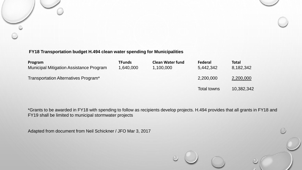

| Program<br><b>Municipal Mitigation Assistance Program</b> | <b>TFunds</b><br>1,640,000 | <b>Clean Water fund</b><br>1,100,000 | Federal<br>5,442,342 | <b>Total</b><br>8,182,342 |
|-----------------------------------------------------------|----------------------------|--------------------------------------|----------------------|---------------------------|
| Transportation Alternatives Program*                      |                            |                                      | 2,200,000            | 2,200,000                 |
|                                                           |                            |                                      | <b>Total towns</b>   | 10,382,342                |

\*Grants to be awarded in FY18 with spending to follow as recipients develop projects. H.494 provides that all grants in FY18 and FY19 shall be limited to municipal stormwater projects

Adapted from document from Neil Schickner / JFO Mar 3, 2017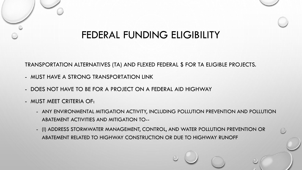#### FEDERAL FUNDING ELIGIBILITY

TRANSPORTATION ALTERNATIVES (TA) AND FLEXED FEDERAL \$ FOR TA ELIGIBLE PROJECTS.

- MUST HAVE A STRONG TRANSPORTATION LINK
- DOES NOT HAVE TO BE FOR A PROJECT ON A FEDERAL AID HIGHWAY
- MUST MEET CRITERIA OF:
	- ANY ENVIRONMENTAL MITIGATION ACTIVITY, INCLUDING POLLUTION PREVENTION AND POLLUTION ABATEMENT ACTIVITIES AND MITIGATION TO--
	- (I) ADDRESS STORMWATER MANAGEMENT, CONTROL, AND WATER POLLUTION PREVENTION OR ABATEMENT RELATED TO HIGHWAY CONSTRUCTION OR DUE TO HIGHWAY RUNOFF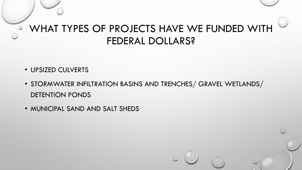### **E WHAT TYPES OF PROJECTS HAVE WE FUNDED WITH** FEDERAL DOLLARS?

- UPSIZED CULVERTS
- STORMWATER INFILTRATION BASINS AND TRENCHES/ GRAVEL WETLANDS/ DETENTION PONDS
- MUNICIPAL SAND AND SALT SHEDS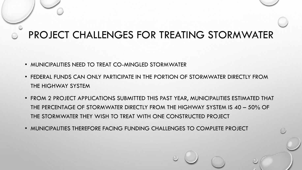## PROJECT CHALLENGES FOR TREATING STORMWATER

- MUNICIPALITIES NEED TO TREAT CO-MINGLED STORMWATER
- FEDERAL FUNDS CAN ONLY PARTICIPATE IN THE PORTION OF STORMWATER DIRECTLY FROM THE HIGHWAY SYSTEM
- FROM 2 PROJECT APPLICATIONS SUBMITTED THIS PAST YEAR, MUNICIPALITIES ESTIMATED THAT THE PERCENTAGE OF STORMWATER DIRECTLY FROM THE HIGHWAY SYSTEM IS 40 – 50% OF THE STORMWATER THEY WISH TO TREAT WITH ONE CONSTRUCTED PROJECT
- MUNICIPALITIES THEREFORE FACING FUNDING CHALLENGES TO COMPLETE PROJECT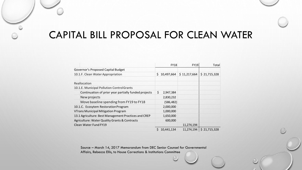#### CAPITAL BILL PROPOSAL FOR CLEAN WATER

|                                                      | <b>FY18</b>      | <b>FY19</b> | Total                       |
|------------------------------------------------------|------------------|-------------|-----------------------------|
| Governor's Proposed Capital Budget                   |                  |             |                             |
| 10.1.F. Clean Water Appropriation                    | 10,497,664<br>Ś. |             | $$11,217,664$ $$21,715,328$ |
| Reallocation                                         |                  |             |                             |
| 10.1.E. Municipal Pollution ControlGrants            |                  |             |                             |
| Continuation of prior year partially funded projects | \$<br>2,947,384  |             |                             |
| New projects                                         | 2,830,232        |             |                             |
| Move baseline spending from FY19 to FY18             | (586, 482)       |             |                             |
| 10.1.C. Ecosytem Restoration Program                 | 2,000,000        |             |                             |
| <b>VTrans Municipal Mitigation Program</b>           | 1,000,000        |             |                             |
| 13.1 Agriculture: Best Management Practices and CREP | 1,650,000        |             |                             |
| Agriculture: Water Quality Grants & Contracts        | 600,000          |             |                             |
| Clean Water Fund FY19                                |                  | 11,274,194  |                             |
|                                                      | 10,441,134<br>S. | 11,274,194  | \$21,715,328                |

Source – March 14, 2017 Memorandum from DEC Senior Counsel for Governmental Affairs, Rebecca Ellis, to House Corrections & Institutions Committee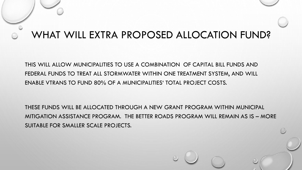#### WHAT WILL EXTRA PROPOSED ALLOCATION FUND?

THIS WILL ALLOW MUNICIPALITIES TO USE A COMBINATION OF CAPITAL BILL FUNDS AND FEDERAL FUNDS TO TREAT ALL STORMWATER WITHIN ONE TREATMENT SYSTEM, AND WILL ENABLE VTRANS TO FUND 80% OF A MUNICIPALITIES' TOTAL PROJECT COSTS.

THESE FUNDS WILL BE ALLOCATED THROUGH A NEW GRANT PROGRAM WITHIN MUNICIPAL MITIGATION ASSISTANCE PROGRAM. THE BETTER ROADS PROGRAM WILL REMAIN AS IS – MORE SUITABLE FOR SMALLER SCALE PROJECTS.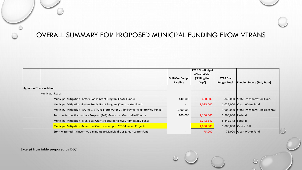#### OVERALL SUMMARY FOR PROPOSED MUNICIPAL FUNDING FROM VTRANS

|                                                                 |                                                                                      |                                           | <b>FY18 Gov Budget</b>                  |                                        |                                         |
|-----------------------------------------------------------------|--------------------------------------------------------------------------------------|-------------------------------------------|-----------------------------------------|----------------------------------------|-----------------------------------------|
|                                                                 |                                                                                      | <b>FY18 Gov Budget</b><br><b>Baseline</b> | - Clean Water<br>("Filling the<br>Gap") | <b>FY18 Gov</b><br><b>Budget Total</b> | <b>Funding Source (Fed, State)</b>      |
| <b>Agency of Transportation</b>                                 |                                                                                      |                                           |                                         |                                        |                                         |
| <b>Municipal Roads</b>                                          |                                                                                      |                                           |                                         |                                        |                                         |
| Municipal Mitigation - Better Roads Grant Program (State Funds) |                                                                                      | 440,000                                   | 400,000                                 |                                        | 840,000 State Transportation Funds      |
|                                                                 | Municipal Mitigation - Better Roads Grant Program (Clean Water Fund)                 |                                           | 1,025,000                               |                                        | 1,025,000 Clean Water Fund              |
|                                                                 | Municipal Mitigation - Grants & VTrans Stormwater Utility Payments (State/Fed Funds) | 1,000,000                                 | $\sim$                                  |                                        | 1,000,000 State Transport Funds/Federal |
|                                                                 | Transportation Alternatives Program (TAP) - Municipal Grants (Fed Funds)             | 1,100,000                                 | 1,100,000                               | 2,200,000   Federal                    |                                         |
|                                                                 | Municipal Mitigation - Municipal Grants (Federal Highway Admin STBG Funds)           |                                           | 5,242,342                               | 5,242,342   Federal                    |                                         |
|                                                                 | Municipal Mitigation - Municipal Grants to support STBG-Funded Projects              |                                           | 1,000,000                               | $1,000,000$ Capital Bill               |                                         |
|                                                                 | Stormwater utility incentive payments to Municipalities (Clean Water Fund)           |                                           | 75,000                                  |                                        | 75,000 Clean Water Fund                 |

Excerpt from table prepared by DEC